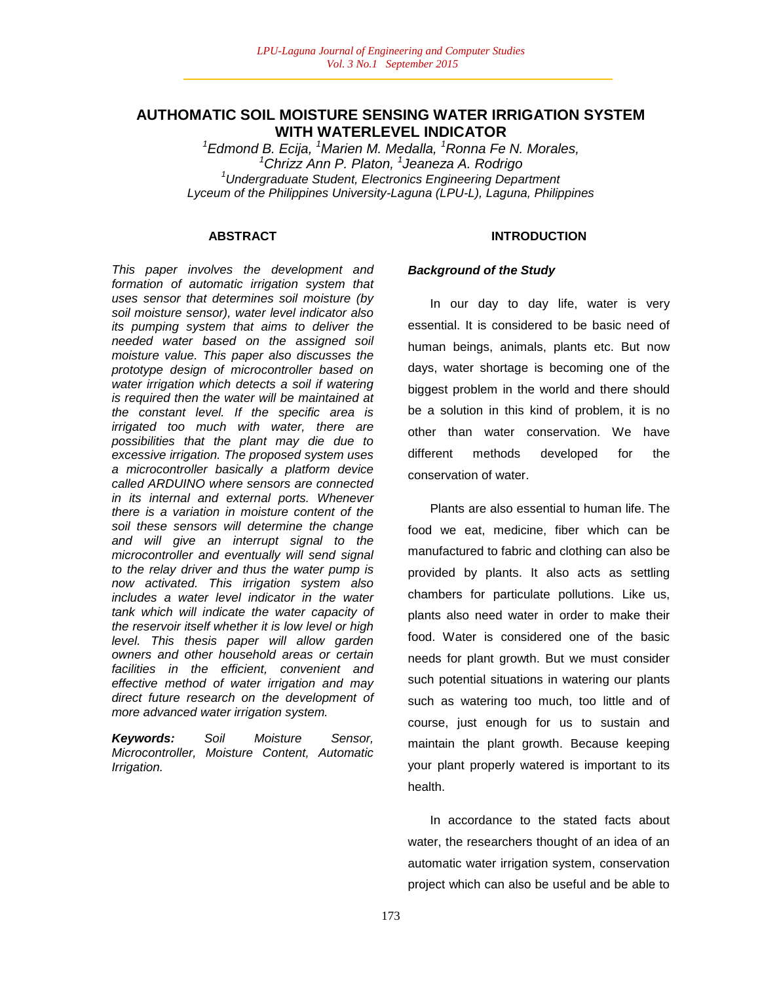# **AUTHOMATIC SOIL MOISTURE SENSING WATER IRRIGATION SYSTEM WITH WATERLEVEL INDICATOR**

*Edmond B. Ecija, <sup>1</sup>Marien M. Medalla, <sup>1</sup>Ronna Fe N. Morales, Chrizz Ann P. Platon, <sup>1</sup> Jeaneza A. Rodrigo Undergraduate Student, Electronics Engineering Department Lyceum of the Philippines University-Laguna (LPU-L), Laguna, Philippines*

### **ABSTRACT**

*This paper involves the development and formation of automatic irrigation system that uses sensor that determines soil moisture (by soil moisture sensor), water level indicator also its pumping system that aims to deliver the needed water based on the assigned soil moisture value. This paper also discusses the prototype design of microcontroller based on water irrigation which detects a soil if watering is required then the water will be maintained at the constant level. If the specific area is irrigated too much with water, there are possibilities that the plant may die due to excessive irrigation. The proposed system uses a microcontroller basically a platform device called ARDUINO where sensors are connected in its internal and external ports. Whenever there is a variation in moisture content of the soil these sensors will determine the change and will give an interrupt signal to the microcontroller and eventually will send signal to the relay driver and thus the water pump is now activated. This irrigation system also includes a water level indicator in the water tank which will indicate the water capacity of the reservoir itself whether it is low level or high level. This thesis paper will allow garden owners and other household areas or certain facilities in the efficient, convenient and effective method of water irrigation and may direct future research on the development of more advanced water irrigation system.*

*Keywords: Soil Moisture Sensor, Microcontroller, Moisture Content, Automatic Irrigation.*

### **INTRODUCTION**

#### *Background of the Study*

In our day to day life, water is very essential. It is considered to be basic need of human beings, animals, plants etc. But now days, water shortage is becoming one of the biggest problem in the world and there should be a solution in this kind of problem, it is no other than water conservation. We have different methods developed for the conservation of water.

Plants are also essential to human life. The food we eat, medicine, fiber which can be manufactured to fabric and clothing can also be provided by plants. It also acts as settling chambers for particulate pollutions. Like us, plants also need water in order to make their food. Water is considered one of the basic needs for plant growth. But we must consider such potential situations in watering our plants such as watering too much, too little and of course, just enough for us to sustain and maintain the plant growth. Because keeping your plant properly watered is important to its health.

In accordance to the stated facts about water, the researchers thought of an idea of an automatic water irrigation system, conservation project which can also be useful and be able to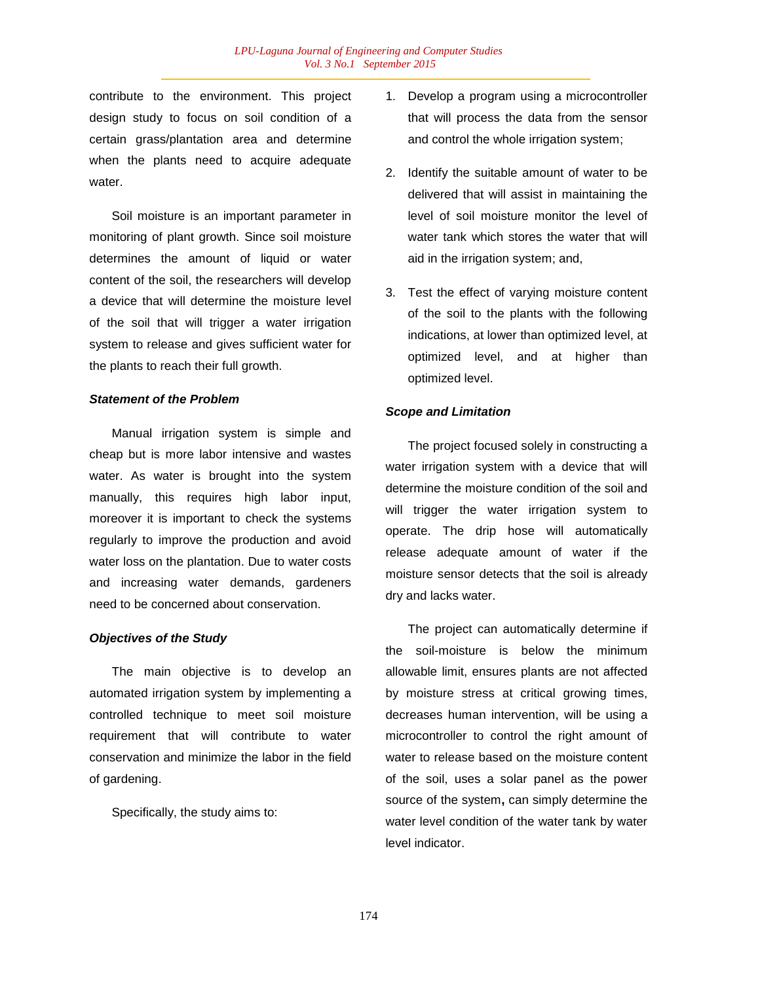contribute to the environment. This project design study to focus on soil condition of a certain grass/plantation area and determine when the plants need to acquire adequate water.

Soil moisture is an important parameter in monitoring of plant growth. Since soil moisture determines the amount of liquid or water content of the soil, the researchers will develop a device that will determine the moisture level of the soil that will trigger a water irrigation system to release and gives sufficient water for the plants to reach their full growth.

#### *Statement of the Problem*

Manual irrigation system is simple and cheap but is more labor intensive and wastes water. As water is brought into the system manually, this requires high labor input, moreover it is important to check the systems regularly to improve the production and avoid water loss on the plantation. Due to water costs and increasing water demands, gardeners need to be concerned about conservation.

#### *Objectives of the Study*

The main objective is to develop an automated irrigation system by implementing a controlled technique to meet soil moisture requirement that will contribute to water conservation and minimize the labor in the field of gardening.

Specifically, the study aims to:

- 1. Develop a program using a microcontroller that will process the data from the sensor and control the whole irrigation system;
- 2. Identify the suitable amount of water to be delivered that will assist in maintaining the level of soil moisture monitor the level of water tank which stores the water that will aid in the irrigation system; and,
- 3. Test the effect of varying moisture content of the soil to the plants with the following indications, at lower than optimized level, at optimized level, and at higher than optimized level.

#### *Scope and Limitation*

The project focused solely in constructing a water irrigation system with a device that will determine the moisture condition of the soil and will trigger the water irrigation system to operate. The drip hose will automatically release adequate amount of water if the moisture sensor detects that the soil is already dry and lacks water.

The project can automatically determine if the soil-moisture is below the minimum allowable limit, ensures plants are not affected by moisture stress at critical growing times, decreases human intervention, will be using a microcontroller to control the right amount of water to release based on the moisture content of the soil, uses a solar panel as the power source of the system**,** can simply determine the water level condition of the water tank by water level indicator.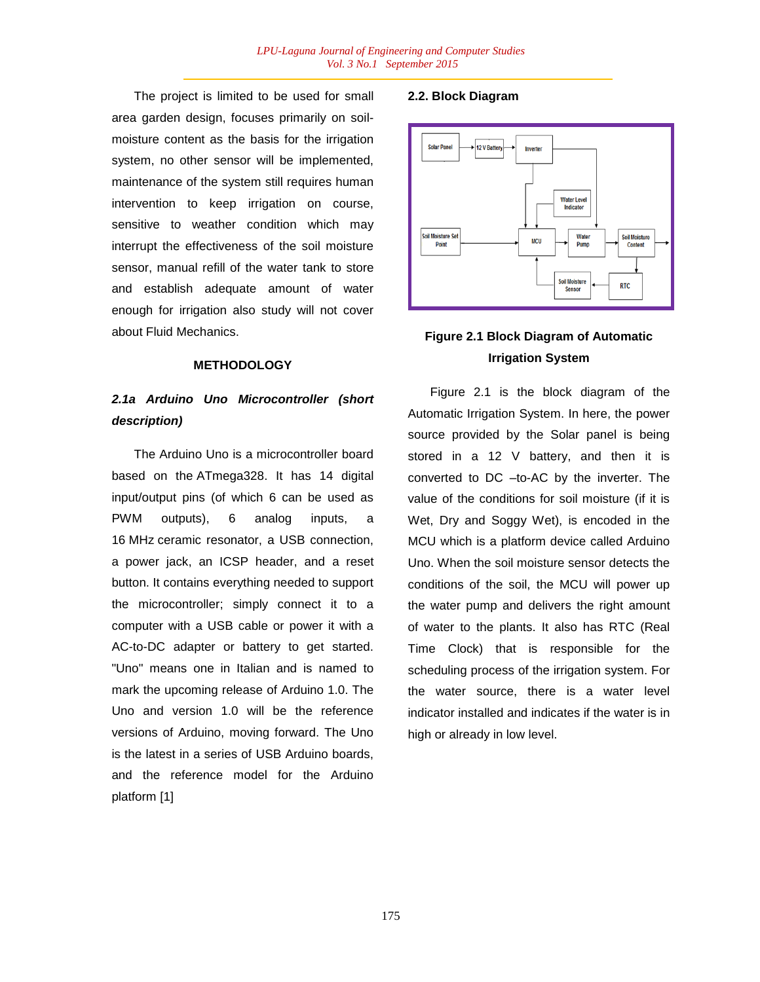The project is limited to be used for small area garden design, focuses primarily on soilmoisture content as the basis for the irrigation system, no other sensor will be implemented, maintenance of the system still requires human intervention to keep irrigation on course, sensitive to weather condition which may interrupt the effectiveness of the soil moisture sensor, manual refill of the water tank to store and establish adequate amount of water enough for irrigation also study will not cover about Fluid Mechanics.

### **METHODOLOGY**

# *2.1a Arduino Uno Microcontroller (short description)*

The Arduino Uno is a microcontroller board based on the ATmega328. It has 14 digital input/output pins (of which 6 can be used as PWM outputs), 6 analog inputs, a 16 MHz ceramic resonator, a USB connection, a power jack, an ICSP header, and a reset button. It contains everything needed to support the microcontroller; simply connect it to a computer with a USB cable or power it with a AC-to-DC adapter or battery to get started. "Uno" means one in Italian and is named to mark the upcoming release of Arduino 1.0. The Uno and version 1.0 will be the reference versions of Arduino, moving forward. The Uno is the latest in a series of USB Arduino boards, and the reference model for the Arduino platform [1]

### **2.2. Block Diagram**



# **Figure 2.1 Block Diagram of Automatic Irrigation System**

Figure 2.1 is the block diagram of the Automatic Irrigation System. In here, the power source provided by the Solar panel is being stored in a 12 V battery, and then it is converted to DC –to-AC by the inverter. The value of the conditions for soil moisture (if it is Wet, Dry and Soggy Wet), is encoded in the MCU which is a platform device called Arduino Uno. When the soil moisture sensor detects the conditions of the soil, the MCU will power up the water pump and delivers the right amount of water to the plants. It also has RTC (Real Time Clock) that is responsible for the scheduling process of the irrigation system. For the water source, there is a water level indicator installed and indicates if the water is in high or already in low level.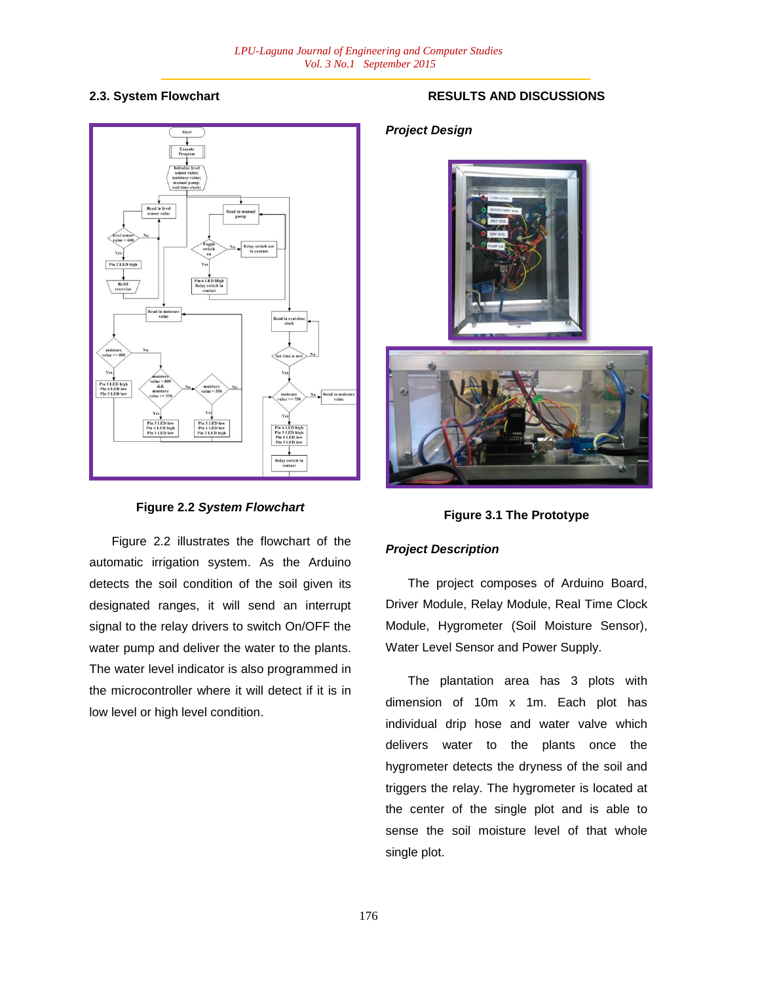## **2.3. System Flowchart**



### **Figure 2.2** *System Flowchart*

Figure 2.2 illustrates the flowchart of the automatic irrigation system. As the Arduino detects the soil condition of the soil given its designated ranges, it will send an interrupt signal to the relay drivers to switch On/OFF the water pump and deliver the water to the plants. The water level indicator is also programmed in the microcontroller where it will detect if it is in low level or high level condition.

# **RESULTS AND DISCUSSIONS**

## *Project Design*



## **Figure 3.1 The Prototype**

### *Project Description*

The project composes of Arduino Board, Driver Module, Relay Module, Real Time Clock Module, Hygrometer (Soil Moisture Sensor), Water Level Sensor and Power Supply.

The plantation area has 3 plots with dimension of 10m x 1m. Each plot has individual drip hose and water valve which delivers water to the plants once the hygrometer detects the dryness of the soil and triggers the relay. The hygrometer is located at the center of the single plot and is able to sense the soil moisture level of that whole single plot.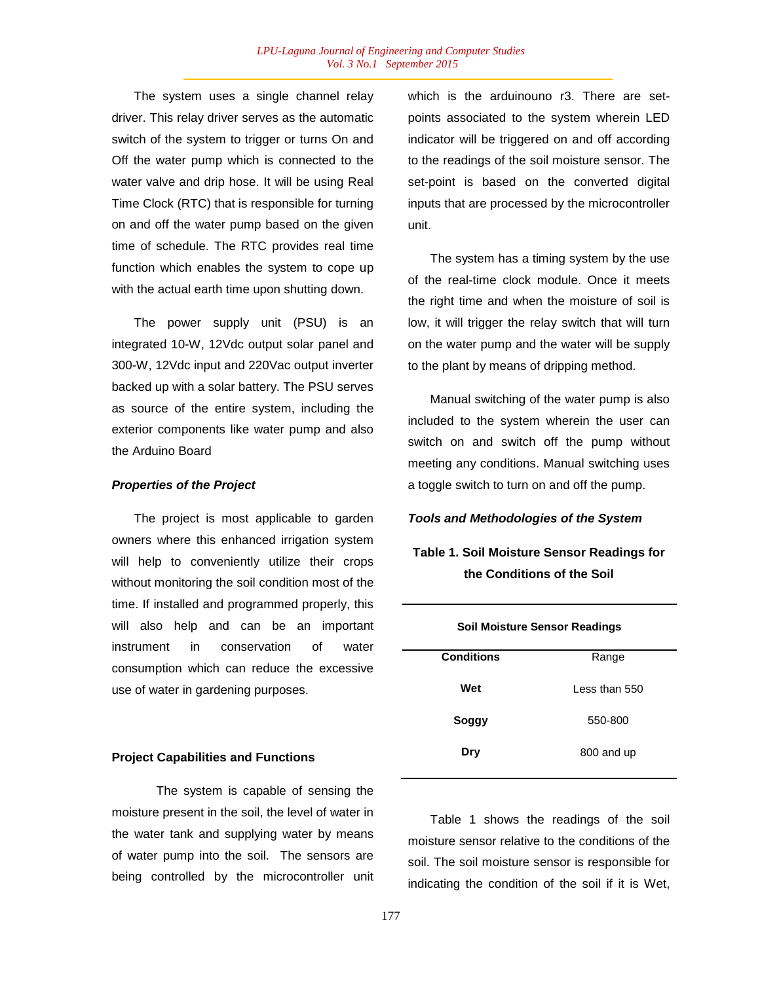The system uses a single channel relay driver. This relay driver serves as the automatic switch of the system to trigger or turns On and Off the water pump which is connected to the water valve and drip hose. It will be using Real Time Clock (RTC) that is responsible for turning on and off the water pump based on the given time of schedule. The RTC provides real time function which enables the system to cope up with the actual earth time upon shutting down.

The power supply unit (PSU) is an integrated 10-W, 12Vdc output solar panel and 300-W, 12Vdc input and 220Vac output inverter backed up with a solar battery. The PSU serves as source of the entire system, including the exterior components like water pump and also the Arduino Board

### *Properties of the Project*

The project is most applicable to garden owners where this enhanced irrigation system will help to conveniently utilize their crops without monitoring the soil condition most of the time. If installed and programmed properly, this will also help and can be an important instrument in conservation of water consumption which can reduce the excessive use of water in gardening purposes.

### **Project Capabilities and Functions**

The system is capable of sensing the moisture present in the soil, the level of water in the water tank and supplying water by means of water pump into the soil. The sensors are being controlled by the microcontroller unit which is the arduinouno r3. There are setpoints associated to the system wherein LED indicator will be triggered on and off according to the readings of the soil moisture sensor. The set-point is based on the converted digital inputs that are processed by the microcontroller unit.

The system has a timing system by the use of the real-time clock module. Once it meets the right time and when the moisture of soil is low, it will trigger the relay switch that will turn on the water pump and the water will be supply to the plant by means of dripping method.

Manual switching of the water pump is also included to the system wherein the user can switch on and switch off the pump without meeting any conditions. Manual switching uses a toggle switch to turn on and off the pump.

### *Tools and Methodologies of the System*

# **Table 1. Soil Moisture Sensor Readings for the Conditions of the Soil**

| <b>Soil Moisture Sensor Readings</b> |               |  |  |  |
|--------------------------------------|---------------|--|--|--|
| <b>Conditions</b>                    | Range         |  |  |  |
| Wet                                  | Less than 550 |  |  |  |
| Soggy                                | 550-800       |  |  |  |
|                                      |               |  |  |  |
| Dry                                  | 800 and up    |  |  |  |
|                                      |               |  |  |  |

Table 1 shows the readings of the soil moisture sensor relative to the conditions of the soil. The soil moisture sensor is responsible for indicating the condition of the soil if it is Wet,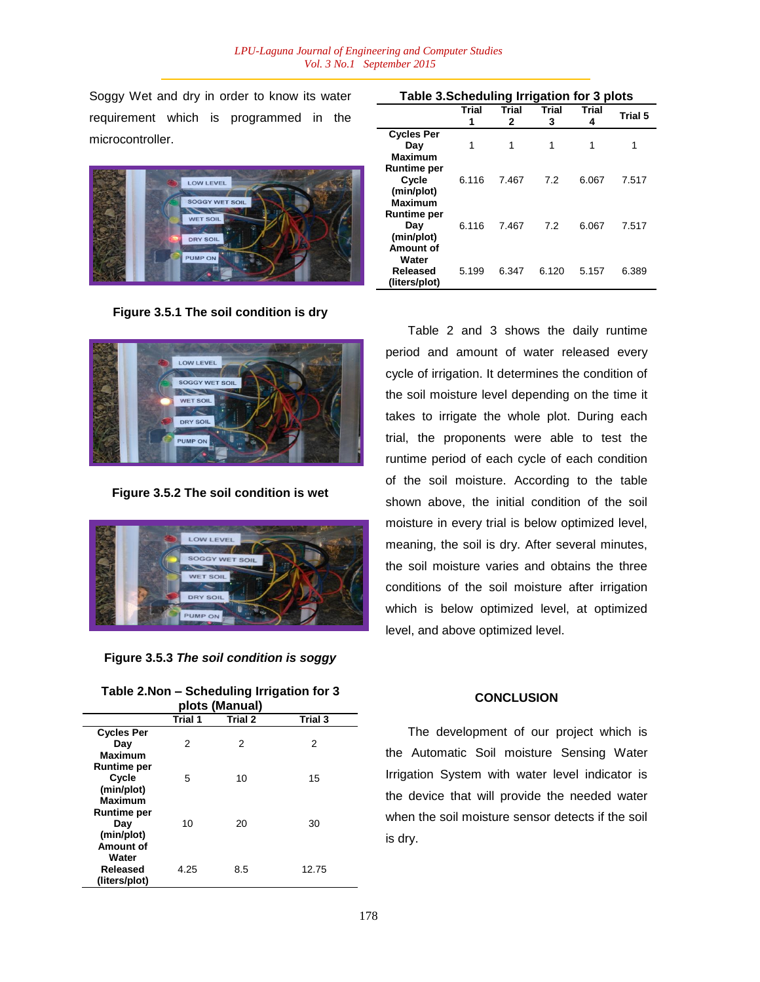Soggy Wet and dry in order to know its water requirement which is programmed in the microcontroller.



**Figure 3.5.1 The soil condition is dry** 



**Figure 3.5.2 The soil condition is wet**



**Figure 3.5.3** *The soil condition is soggy*

| plots (Manual)     |         |         |         |  |  |  |  |
|--------------------|---------|---------|---------|--|--|--|--|
|                    | Trial 1 | Trial 2 | Trial 3 |  |  |  |  |
| <b>Cycles Per</b>  |         |         |         |  |  |  |  |
| Day                | 2       | 2       | 2       |  |  |  |  |
| <b>Maximum</b>     |         |         |         |  |  |  |  |
| <b>Runtime per</b> |         |         |         |  |  |  |  |
| Cycle              | 5       | 10      | 15      |  |  |  |  |
| (min/plot)         |         |         |         |  |  |  |  |
| Maximum            |         |         |         |  |  |  |  |
| <b>Runtime per</b> |         |         |         |  |  |  |  |
| Day                | 10      | 20      | 30      |  |  |  |  |
| (min/plot)         |         |         |         |  |  |  |  |
| Amount of          |         |         |         |  |  |  |  |
| Water              |         |         |         |  |  |  |  |
| Released           | 4.25    | 8.5     | 12.75   |  |  |  |  |
| (liters/plot)      |         |         |         |  |  |  |  |

|                                                             | Trial<br>1 | Trial<br>2 | Trial<br>3 | <b>Trial</b><br>4 | Trial 5 |
|-------------------------------------------------------------|------------|------------|------------|-------------------|---------|
| <b>Cycles Per</b><br>Day<br><b>Maximum</b>                  | 1          | 1          | 1          | 1                 |         |
| <b>Runtime per</b><br>Cycle<br>(min/plot)<br><b>Maximum</b> | 6.116      | 7.467      | 7.2        | 6.067             | 7.517   |
| <b>Runtime per</b><br>Day<br>(min/plot)                     | 6.116      | 7.467      | 7.2        | 6.067             | 7.517   |
| Amount of<br>Water<br>Released<br>(liters/plot)             | 5.199      | 6.347      | 6.120      | 5.157             | 6.389   |

**Table 3.Scheduling Irrigation for 3 plots**

Table 2 and 3 shows the daily runtime period and amount of water released every cycle of irrigation. It determines the condition of the soil moisture level depending on the time it takes to irrigate the whole plot. During each trial, the proponents were able to test the runtime period of each cycle of each condition of the soil moisture. According to the table shown above, the initial condition of the soil moisture in every trial is below optimized level, meaning, the soil is dry. After several minutes, the soil moisture varies and obtains the three conditions of the soil moisture after irrigation which is below optimized level, at optimized level, and above optimized level.

#### **CONCLUSION**

The development of our project which is the Automatic Soil moisture Sensing Water Irrigation System with water level indicator is the device that will provide the needed water when the soil moisture sensor detects if the soil is dry.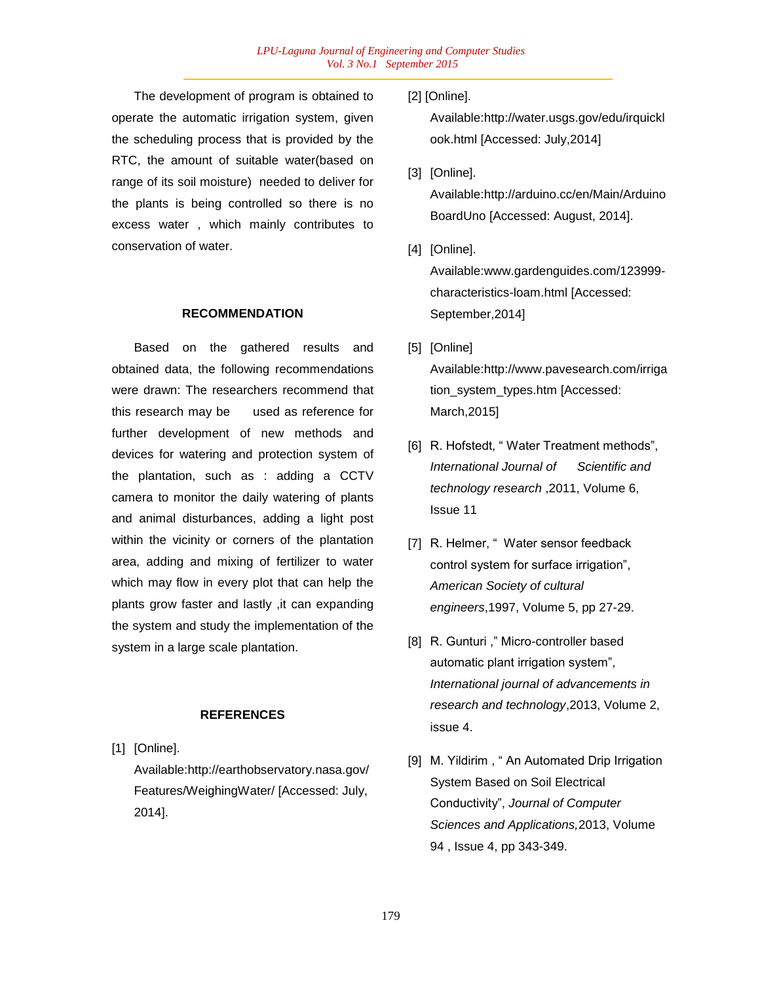The development of program is obtained to operate the automatic irrigation system, given the scheduling process that is provided by the RTC, the amount of suitable water(based on range of its soil moisture) needed to deliver for the plants is being controlled so there is no excess water , which mainly contributes to conservation of water.

### **RECOMMENDATION**

Based on the gathered results and obtained data, the following recommendations were drawn: The researchers recommend that this research may be used as reference for further development of new methods and devices for watering and protection system of the plantation, such as : adding a CCTV camera to monitor the daily watering of plants and animal disturbances, adding a light post within the vicinity or corners of the plantation area, adding and mixing of fertilizer to water which may flow in every plot that can help the plants grow faster and lastly ,it can expanding the system and study the implementation of the system in a large scale plantation.

### **REFERENCES**

[1] [Online].

Available:http://earthobservatory.nasa.gov/ Features/WeighingWater/ [Accessed: July, 2014].

[2] [Online].

Available:http://water.usgs.gov/edu/irquickl ook.html [Accessed: July,2014]

[3] [Online].

Available:http://arduino.cc/en/Main/Arduino BoardUno [Accessed: August, 2014].

[4] [Online].

Available:www.gardenguides.com/123999 characteristics-loam.html [Accessed: September,2014]

- [5] [Online] Available:http://www.pavesearch.com/irriga tion\_system\_types.htm [Accessed: March,2015]
- [6] R. Hofstedt, " Water Treatment methods", *International Journal of Scientific and technology research* ,2011, Volume 6, Issue 11
- [7] R. Helmer, "Water sensor feedback control system for surface irrigation", *American Society of cultural engineers*,1997, Volume 5, pp 27-29.
- [8] R. Gunturi," Micro-controller based automatic plant irrigation system", *International journal of advancements in research and technology*,2013, Volume 2, issue 4.
- [9] M. Yildirim , " An Automated Drip Irrigation System Based on Soil Electrical Conductivity", *Journal of Computer Sciences and Applications,*2013, Volume 94 , Issue 4, pp 343-349.